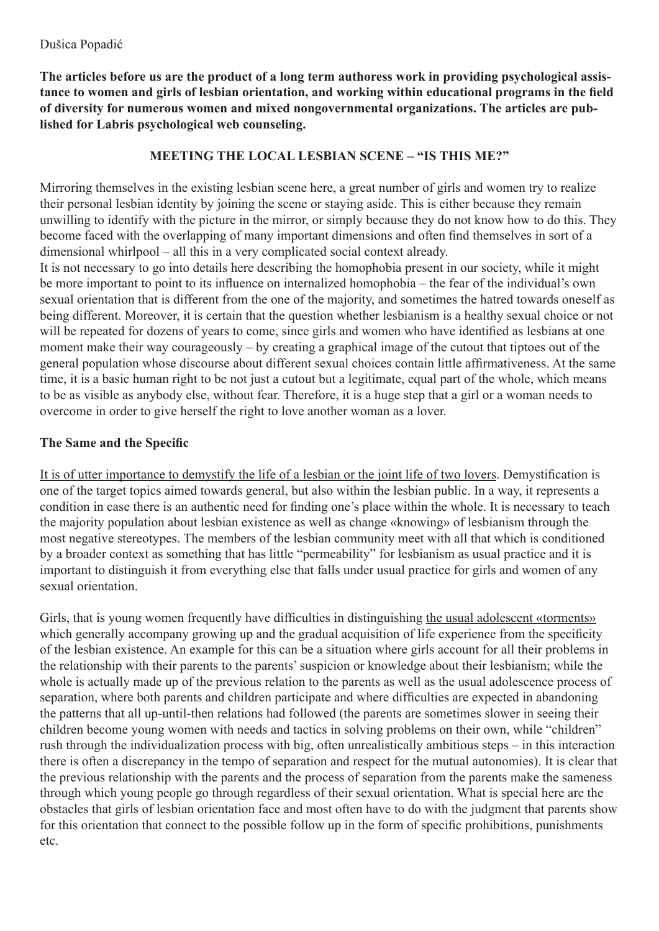**The articles before us are the product of a long term authoress work in providing psychological assistance to women and girls of lesbian orientation, and working within educational programs in the field of diversity for numerous women and mixed nongovernmental organizations. The articles are published for Labris psychological web counseling.**

## **MEETING THE LOCAL LESBIAN SCENE – "IS THIS ME?"**

Mirroring themselves in the existing lesbian scene here, a great number of girls and women try to realize their personal lesbian identity by joining the scene or staying aside. This is either because they remain unwilling to identify with the picture in the mirror, or simply because they do not know how to do this. They become faced with the overlapping of many important dimensions and often find themselves in sort of a dimensional whirlpool – all this in a very complicated social context already.

It is not necessary to go into details here describing the homophobia present in our society, while it might be more important to point to its influence on internalized homophobia – the fear of the individual's own sexual orientation that is different from the one of the majority, and sometimes the hatred towards oneself as being different. Moreover, it is certain that the question whether lesbianism is a healthy sexual choice or not will be repeated for dozens of years to come, since girls and women who have identified as lesbians at one moment make their way courageously – by creating a graphical image of the cutout that tiptoes out of the general population whose discourse about different sexual choices contain little affirmativeness. At the same time, it is a basic human right to be not just a cutout but a legitimate, equal part of the whole, which means to be as visible as anybody else, without fear. Therefore, it is a huge step that a girl or a woman needs to overcome in order to give herself the right to love another woman as a lover.

## **The Same and the Specific**

It is of utter importance to demystify the life of a lesbian or the joint life of two lovers. Demystification is one of the target topics aimed towards general, but also within the lesbian public. In a way, it represents a condition in case there is an authentic need for finding one's place within the whole. It is necessary to teach the majority population about lesbian existence as well as change «knowing» of lesbianism through the most negative stereotypes. The members of the lesbian community meet with all that which is conditioned by a broader context as something that has little "permeability" for lesbianism as usual practice and it is important to distinguish it from everything else that falls under usual practice for girls and women of any sexual orientation.

Girls, that is young women frequently have difficulties in distinguishing the usual adolescent «torments» which generally accompany growing up and the gradual acquisition of life experience from the specificity of the lesbian existence. An example for this can be a situation where girls account for all their problems in the relationship with their parents to the parents' suspicion or knowledge about their lesbianism; while the whole is actually made up of the previous relation to the parents as well as the usual adolescence process of separation, where both parents and children participate and where difficulties are expected in abandoning the patterns that all up-until-then relations had followed (the parents are sometimes slower in seeing their children become young women with needs and tactics in solving problems on their own, while "children" rush through the individualization process with big, often unrealistically ambitious steps – in this interaction there is often a discrepancy in the tempo of separation and respect for the mutual autonomies). It is clear that the previous relationship with the parents and the process of separation from the parents make the sameness through which young people go through regardless of their sexual orientation. What is special here are the obstacles that girls of lesbian orientation face and most often have to do with the judgment that parents show for this orientation that connect to the possible follow up in the form of specific prohibitions, punishments etc.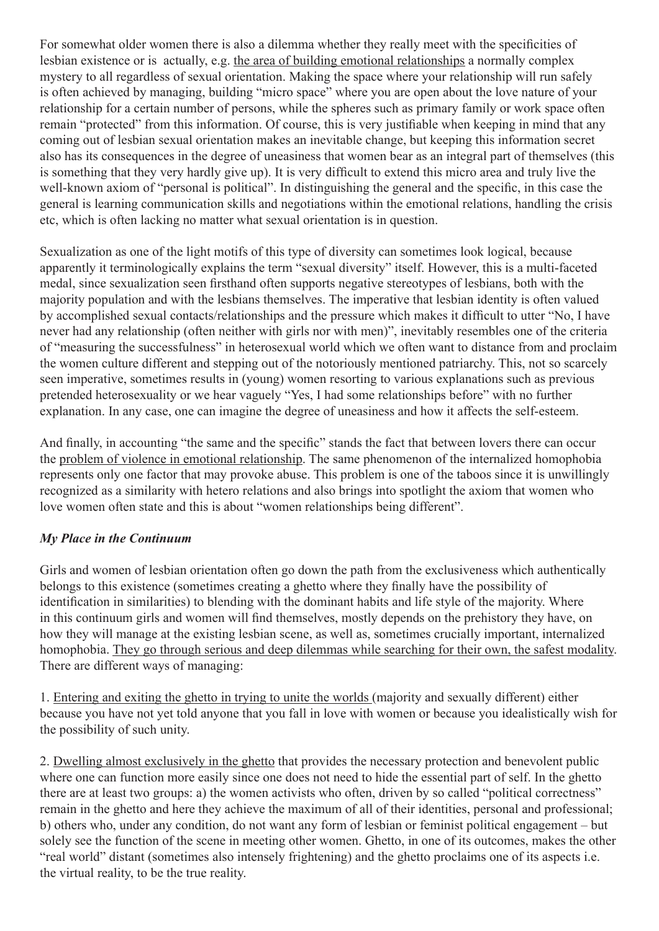For somewhat older women there is also a dilemma whether they really meet with the specificities of lesbian existence or is actually, e.g. the area of building emotional relationships a normally complex mystery to all regardless of sexual orientation. Making the space where your relationship will run safely is often achieved by managing, building "micro space" where you are open about the love nature of your relationship for a certain number of persons, while the spheres such as primary family or work space often remain "protected" from this information. Of course, this is very justifiable when keeping in mind that any coming out of lesbian sexual orientation makes an inevitable change, but keeping this information secret also has its consequences in the degree of uneasiness that women bear as an integral part of themselves (this is something that they very hardly give up). It is very difficult to extend this micro area and truly live the well-known axiom of "personal is political". In distinguishing the general and the specific, in this case the general is learning communication skills and negotiations within the emotional relations, handling the crisis etc, which is often lacking no matter what sexual orientation is in question.

Sexualization as one of the light motifs of this type of diversity can sometimes look logical, because apparently it terminologically explains the term "sexual diversity" itself. However, this is a multi-faceted medal, since sexualization seen firsthand often supports negative stereotypes of lesbians, both with the majority population and with the lesbians themselves. The imperative that lesbian identity is often valued by accomplished sexual contacts/relationships and the pressure which makes it difficult to utter "No, I have never had any relationship (often neither with girls nor with men)", inevitably resembles one of the criteria of "measuring the successfulness" in heterosexual world which we often want to distance from and proclaim the women culture different and stepping out of the notoriously mentioned patriarchy. This, not so scarcely seen imperative, sometimes results in (young) women resorting to various explanations such as previous pretended heterosexuality or we hear vaguely "Yes, I had some relationships before" with no further explanation. In any case, one can imagine the degree of uneasiness and how it affects the self-esteem.

And finally, in accounting "the same and the specific" stands the fact that between lovers there can occur the problem of violence in emotional relationship. The same phenomenon of the internalized homophobia represents only one factor that may provoke abuse. This problem is one of the taboos since it is unwillingly recognized as a similarity with hetero relations and also brings into spotlight the axiom that women who love women often state and this is about "women relationships being different".

## *My Place in the Continuum*

Girls and women of lesbian orientation often go down the path from the exclusiveness which authentically belongs to this existence (sometimes creating a ghetto where they finally have the possibility of identification in similarities) to blending with the dominant habits and life style of the majority. Where in this continuum girls and women will find themselves, mostly depends on the prehistory they have, on how they will manage at the existing lesbian scene, as well as, sometimes crucially important, internalized homophobia. They go through serious and deep dilemmas while searching for their own, the safest modality. There are different ways of managing:

1. Entering and exiting the ghetto in trying to unite the worlds (majority and sexually different) either because you have not yet told anyone that you fall in love with women or because you idealistically wish for the possibility of such unity.

2. Dwelling almost exclusively in the ghetto that provides the necessary protection and benevolent public where one can function more easily since one does not need to hide the essential part of self. In the ghetto there are at least two groups: a) the women activists who often, driven by so called "political correctness" remain in the ghetto and here they achieve the maximum of all of their identities, personal and professional; b) others who, under any condition, do not want any form of lesbian or feminist political engagement – but solely see the function of the scene in meeting other women. Ghetto, in one of its outcomes, makes the other "real world" distant (sometimes also intensely frightening) and the ghetto proclaims one of its aspects i.e. the virtual reality, to be the true reality.